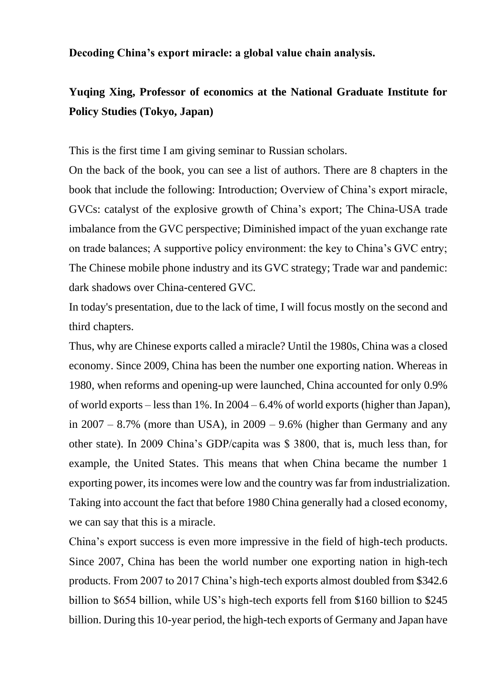**Decoding China's export miracle: a global value chain analysis.**

# **Yuqing Xing, Professor of economics at the National Graduate Institute for Policy Studies (Tokyo, Japan)**

This is the first time I am giving seminar to Russian scholars.

On the back of the book, you can see a list of authors. There are 8 chapters in the book that include the following: Introduction; Overview of China's export miracle, GVCs: catalyst of the explosive growth of China's export; The China-USA trade imbalance from the GVC perspective; Diminished impact of the yuan exchange rate on trade balances; A supportive policy environment: the key to China's GVC entry; The Chinese mobile phone industry and its GVC strategy; Trade war and pandemic: dark shadows over China-centered GVC.

In today's presentation, due to the lack of time, I will focus mostly on the second and third chapters.

Thus, why are Chinese exports called a miracle? Until the 1980s, China was a closed economy. Since 2009, China has been the number one exporting nation. Whereas in 1980, when reforms and opening-up were launched, China accounted for only 0.9% of world exports – less than 1%. In 2004 – 6.4% of world exports (higher than Japan), in  $2007 - 8.7\%$  (more than USA), in  $2009 - 9.6\%$  (higher than Germany and any other state). In 2009 China's GDP/capita was \$ 3800, that is, much less than, for example, the United States. This means that when China became the number 1 exporting power, its incomes were low and the country was far from industrialization. Taking into account the fact that before 1980 China generally had a closed economy, we can say that this is a miracle.

China's export success is even more impressive in the field of high-tech products. Since 2007, China has been the world number one exporting nation in high-tech products. From 2007 to 2017 China's high-tech exports almost doubled from \$342.6 billion to \$654 billion, while US's high-tech exports fell from \$160 billion to \$245 billion. During this 10-year period, the high-tech exports of Germany and Japan have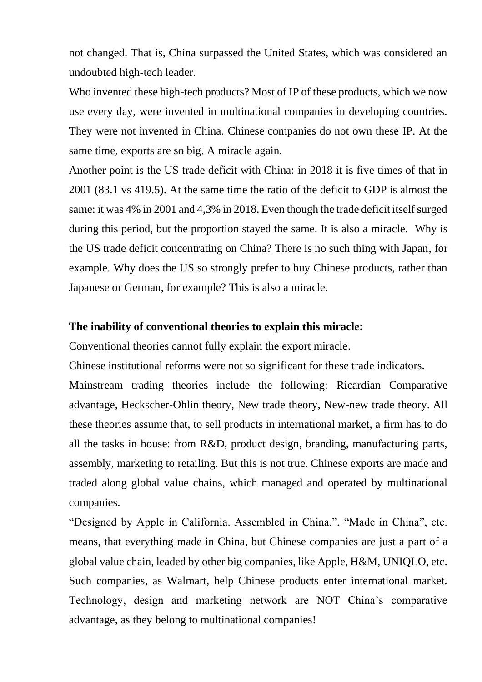not changed. That is, China surpassed the United States, which was considered an undoubted high-tech leader.

Who invented these high-tech products? Most of IP of these products, which we now use every day, were invented in multinational companies in developing countries. They were not invented in China. Chinese companies do not own these IP. At the same time, exports are so big. A miracle again.

Another point is the US trade deficit with China: in 2018 it is five times of that in 2001 (83.1 vs 419.5). At the same time the ratio of the deficit to GDP is almost the same: it was 4% in 2001 and 4,3% in 2018. Even though the trade deficit itself surged during this period, but the proportion stayed the same. It is also a miracle. Why is the US trade deficit concentrating on China? There is no such thing with Japan, for example. Why does the US so strongly prefer to buy Chinese products, rather than Japanese or German, for example? This is also a miracle.

### **The inability of conventional theories to explain this miracle:**

Conventional theories cannot fully explain the export miracle.

Chinese institutional reforms were not so significant for these trade indicators.

Mainstream trading theories include the following: Ricardian Comparative advantage, Heckscher-Ohlin theory, New trade theory, New-new trade theory. All these theories assume that, to sell products in international market, a firm has to do all the tasks in house: from R&D, product design, branding, manufacturing parts, assembly, marketing to retailing. But this is not true. Chinese exports are made and traded along global value chains, which managed and operated by multinational companies.

"Designed by Apple in California. Assembled in China.", "Made in China", etc. means, that everything made in China, but Chinese companies are just a part of a global value chain, leaded by other big companies, like Apple, H&M, UNIQLO, etc. Such companies, as Walmart, help Chinese products enter international market. Technology, design and marketing network are NOT China's comparative advantage, as they belong to multinational companies!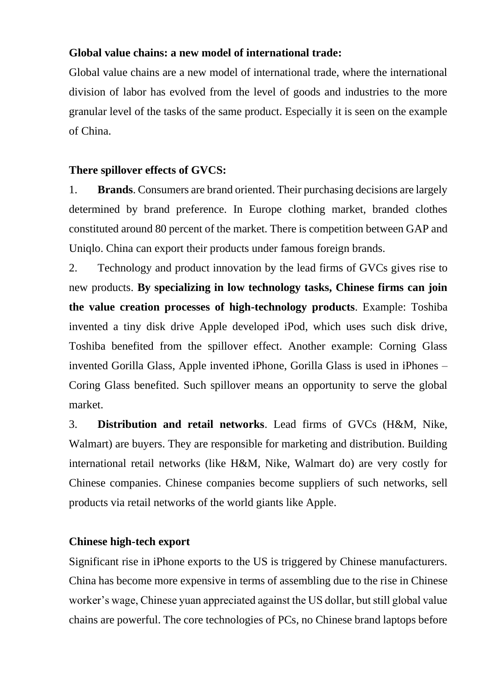## **Global value chains: a new model of international trade:**

Global value chains are a new model of international trade, where the international division of labor has evolved from the level of goods and industries to the more granular level of the tasks of the same product. Especially it is seen on the example of China.

# **There spillover effects of GVCS:**

1. **Brands**. Consumers are brand oriented. Their purchasing decisions are largely determined by brand preference. In Europe clothing market, branded clothes constituted around 80 percent of the market. There is competition between GAP and Uniqlo. China can export their products under famous foreign brands.

2. Technology and product innovation by the lead firms of GVCs gives rise to new products. **By specializing in low technology tasks, Chinese firms can join the value creation processes of high-technology products**. Example: Toshiba invented a tiny disk drive Apple developed iPod, which uses such disk drive, Toshiba benefited from the spillover effect. Another example: Corning Glass invented Gorilla Glass, Apple invented iPhone, Gorilla Glass is used in iPhones – Coring Glass benefited. Such spillover means an opportunity to serve the global market.

3. **Distribution and retail networks**. Lead firms of GVCs (H&M, Nike, Walmart) are buyers. They are responsible for marketing and distribution. Building international retail networks (like H&M, Nike, Walmart do) are very costly for Chinese companies. Chinese companies become suppliers of such networks, sell products via retail networks of the world giants like Apple.

# **Chinese high-tech export**

Significant rise in iPhone exports to the US is triggered by Chinese manufacturers. China has become more expensive in terms of assembling due to the rise in Chinese worker's wage, Chinese yuan appreciated against the US dollar, but still global value chains are powerful. The core technologies of PCs, no Chinese brand laptops before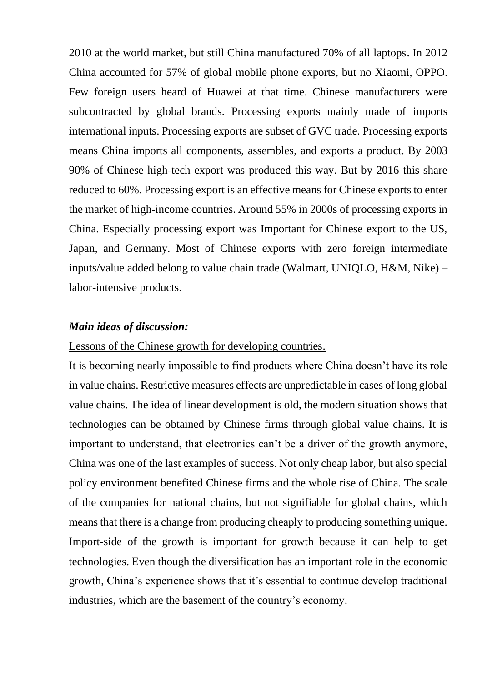2010 at the world market, but still China manufactured 70% of all laptops. In 2012 China accounted for 57% of global mobile phone exports, but no Xiaomi, OPPO. Few foreign users heard of Huawei at that time. Chinese manufacturers were subcontracted by global brands. Processing exports mainly made of imports international inputs. Processing exports are subset of GVC trade. Processing exports means China imports all components, assembles, and exports a product. By 2003 90% of Chinese high-tech export was produced this way. But by 2016 this share reduced to 60%. Processing export is an effective means for Chinese exports to enter the market of high-income countries. Around 55% in 2000s of processing exports in China. Especially processing export was Important for Chinese export to the US, Japan, and Germany. Most of Chinese exports with zero foreign intermediate inputs/value added belong to value chain trade (Walmart, UNIQLO, H&M, Nike) – labor-intensive products.

#### *Main ideas of discussion:*

#### Lessons of the Chinese growth for developing countries.

It is becoming nearly impossible to find products where China doesn't have its role in value chains. Restrictive measures effects are unpredictable in cases of long global value chains. The idea of linear development is old, the modern situation shows that technologies can be obtained by Chinese firms through global value chains. It is important to understand, that electronics can't be a driver of the growth anymore, China was one of the last examples of success. Not only cheap labor, but also special policy environment benefited Chinese firms and the whole rise of China. The scale of the companies for national chains, but not signifiable for global chains, which means that there is a change from producing cheaply to producing something unique. Import-side of the growth is important for growth because it can help to get technologies. Even though the diversification has an important role in the economic growth, China's experience shows that it's essential to continue develop traditional industries, which are the basement of the country's economy.